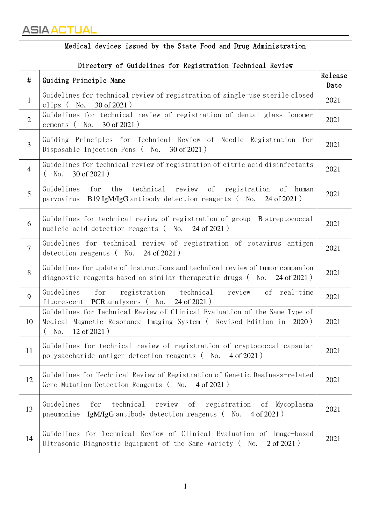|                | Medical devices issued by the State Food and Drug Administration                                                                                                              |                 |
|----------------|-------------------------------------------------------------------------------------------------------------------------------------------------------------------------------|-----------------|
|                | Directory of Guidelines for Registration Technical Review                                                                                                                     |                 |
| $\pmb{\pi}$    | Guiding Principle Name                                                                                                                                                        | Release<br>Date |
| $\mathbf{1}$   | Guidelines for technical review of registration of single-use sterile closed<br>clips (No.<br>30 of 2021)                                                                     | 2021            |
| $\overline{2}$ | Guidelines for technical review of registration of dental glass ionomer<br>$30$ of $2021$ )<br>No.<br>cements (                                                               | 2021            |
| $\overline{3}$ | Guiding Principles for Technical Review of Needle Registration for<br>Disposable Injection Pens (No. 30 of 2021)                                                              | 2021            |
| $\overline{4}$ | Guidelines for technical review of registration of citric acid disinfectants<br>$30$ of $2021$ )<br>No.                                                                       | 2021            |
| 5              | Guidelines for the technical review of registration of human<br>parvovirus B19 IgM/IgG antibody detection reagents (No. 24 of 2021)                                           | 2021            |
| 6              | Guidelines for technical review of registration of group B streptococcal<br>nucleic acid detection reagents (No. 24 of 2021)                                                  | 2021            |
| $\overline{7}$ | Guidelines for technical review of registration of rotavirus antigen<br>detection reagents (No.<br>24 of 2021)                                                                | 2021            |
| 8              | Guidelines for update of instructions and technical review of tumor companion<br>diagnostic reagents based on similar therapeutic drugs (No.<br>24 of 2021)                   | 2021            |
| 9              | Guidelines<br>for<br>registration technical<br>review<br>of real-time<br>fluorescent PCR analyzers (No. 24 of 2021)                                                           | 2021            |
| 10             | Guidelines for Technical Review of Clinical Evaluation of the Same Type of<br>Medical Magnetic Resonance Imaging System ( Revised Edition in 2020)<br>$12$ of $2021$ )<br>No. | 2021            |
| 11             | Guidelines for technical review of registration of cryptococcal capsular<br>polysaccharide antigen detection reagents ( No.<br>$4 \text{ of } 2021$ )                         | 2021            |
| 12             | Guidelines for Technical Review of Registration of Genetic Deafness-related<br>Gene Mutation Detection Reagents ( No.<br>$4$ of 2021)                                         | 2021            |
| 13             | technical<br>Guidelines<br>for<br>review<br>registration<br>of<br>of Mycoplasma<br>IgM/IgG antibody detection reagents (No. 4 of 2021)<br>pneumoniae                          | 2021            |
| 14             | Guidelines for Technical Review of Clinical Evaluation of Image-based<br>Ultrasonic Diagnostic Equipment of the Same Variety (No. 2 of 2021)                                  | 2021            |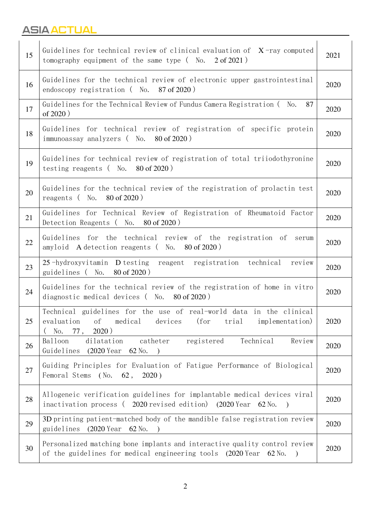| 15 | Guidelines for technical review of clinical evaluation of $X$ -ray computed<br>tomography equipment of the same type (No. 2 of 2021)                                                                                          | 2021 |
|----|-------------------------------------------------------------------------------------------------------------------------------------------------------------------------------------------------------------------------------|------|
| 16 | Guidelines for the technical review of electronic upper gastrointestinal<br>endoscopy registration (No. 87 of 2020)                                                                                                           | 2020 |
| 17 | Guidelines for the Technical Review of Fundus Camera Registration ( No.<br>87<br>of $2020$ )                                                                                                                                  | 2020 |
| 18 | Guidelines for technical review of registration of specific protein<br>immunoassay analyzers (No. 80 of 2020)                                                                                                                 | 2020 |
| 19 | Guidelines for technical review of registration of total triiodothyronine<br>testing reagents $(\overline{\mathbf{N}}_0, \overline{\mathbf{S}}_0, \overline{\mathbf{S}}_0, \overline{\mathbf{S}}_0, \overline{\mathbf{S}}_0)$ | 2020 |
| 20 | Guidelines for the technical review of the registration of prolactin test<br>reagents ( $\overline{N}$ o. 80 of 2020)                                                                                                         | 2020 |
| 21 | Guidelines for Technical Review of Registration of Rheumatoid Factor<br>80 of 2020)<br>Detection Reagents (No.                                                                                                                | 2020 |
| 22 | Guidelines for the technical review of the registration of<br>serum<br>amyloid A detection reagents (No. 80 of 2020)                                                                                                          | 2020 |
| 23 | 25-hydroxyvitamin D testing reagent registration<br>technical<br>review<br>guidelines (No.<br>80 of 2020)                                                                                                                     | 2020 |
| 24 | Guidelines for the technical review of the registration of home in vitro<br>diagnostic medical devices ( No.<br>80 of 2020)                                                                                                   | 2020 |
| 25 | Technical guidelines for the use of real-world data in the clinical<br>evaluation of medical devices (for trial implementation)<br>2020)<br>No.<br>77,                                                                        | 2020 |
| 26 | Technical<br>dilatation<br>catheter<br>Review<br>Balloon<br>registered<br>Guidelines (2020 Year 62 No.)                                                                                                                       | 2020 |
| 27 | Guiding Principles for Evaluation of Fatigue Performance of Biological<br>Femoral Stems (No. 62, 2020)                                                                                                                        | 2020 |
| 28 | Allogeneic verification guidelines for implantable medical devices viral<br>inactivation process (2020 revised edition) (2020 Year 62 No.<br>$\rightarrow$                                                                    | 2020 |
| 29 | 3D printing patient-matched body of the mandible false registration review<br>guidelines<br>$(2020$ Year<br>$62$ No.                                                                                                          | 2020 |
| 30 | Personalized matching bone implants and interactive quality control review<br>of the guidelines for medical engineering tools (2020 Year 62 No.<br>$\lambda$                                                                  | 2020 |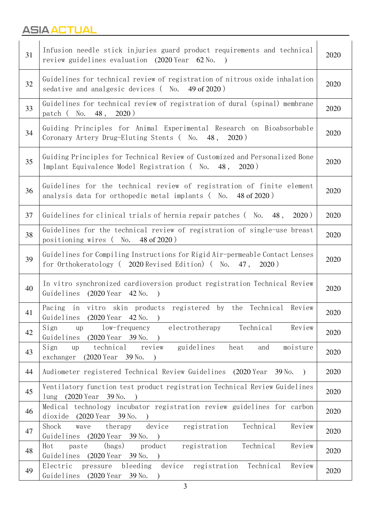| 31 | Infusion needle stick injuries guard product requirements and technical<br>review guidelines evaluation (2020 Year 62 No.<br>$\rightarrow$   | 2020 |
|----|----------------------------------------------------------------------------------------------------------------------------------------------|------|
| 32 | Guidelines for technical review of registration of nitrous oxide inhalation<br>sedative and analgesic devices (No. 49 of 2020)               | 2020 |
| 33 | Guidelines for technical review of registration of dural (spinal) membrane<br>2020)<br>48,<br>patch (No.                                     | 2020 |
| 34 | Guiding Principles for Animal Experimental Research on Bioabsorbable<br>Coronary Artery Drug-Eluting Stents (No. 48,<br>2020)                | 2020 |
| 35 | Guiding Principles for Technical Review of Customized and Personalized Bone<br>Implant Equivalence Model Registration (No.<br>48,<br>2020)   | 2020 |
| 36 | Guidelines for the technical review of registration of finite element<br>analysis data for orthopedic metal implants (No. 48 of 2020)        | 2020 |
| 37 | Guidelines for clinical trials of hernia repair patches (No.<br>48,<br>2020)                                                                 | 2020 |
| 38 | Guidelines for the technical review of registration of single-use breast<br>positioning wires (<br>No.<br>48 of 2020)                        | 2020 |
| 39 | Guidelines for Compiling Instructions for Rigid Air-permeable Contact Lenses<br>for Orthokeratology (2020 Revised Edition) (No. 47,<br>2020) | 2020 |
| 40 | In vitro synchronized cardioversion product registration Technical Review<br>Guidelines (2020 Year 42 No.<br>$\rightarrow$                   | 2020 |
| 41 | Pacing in vitro skin products registered by the Technical Review<br>Guidelines<br>$(2020$ Year $42$ No.                                      | 2020 |
| 42 | Technical<br>Review<br>low-frequency<br>electrotherapy<br>Sign<br>up<br>Guidelines<br>$(2020$ Year 39 No.                                    | 2020 |
| 43 | guidelines<br>technical<br>review<br>heat<br>and<br>moisture<br>Sign<br>up<br>exchanger<br>$(2020 \text{ Year } 39 \text{ No.})$             | 2020 |
| 44 | Audiometer registered Technical Review Guidelines (2020 Year 39 No.<br>$\rightarrow$                                                         | 2020 |
| 45 | Ventilatory function test product registration Technical Review Guidelines<br>lung $(2020$ Year $39$ No.<br>$\rightarrow$                    | 2020 |
| 46 | Medical technology incubator registration review guidelines for carbon<br>dioxide (2020 Year 39 No.                                          | 2020 |
| 47 | Technical<br>device<br>Shock<br>therapy<br>registration<br>Review<br>wave<br>Guidelines<br>$(2020$ Year 39 No.                               | 2020 |
| 48 | (bags)<br>product<br>registration<br>Technical<br>Hot<br>Review<br>paste<br>Guidelines (2020 Year 39 No.<br>$\overline{\phantom{a}}$         | 2020 |
| 49 | device<br>registration Technical<br>Review<br>Electric<br>pressure bleeding<br>Guidelines (2020 Year<br>39 No.                               | 2020 |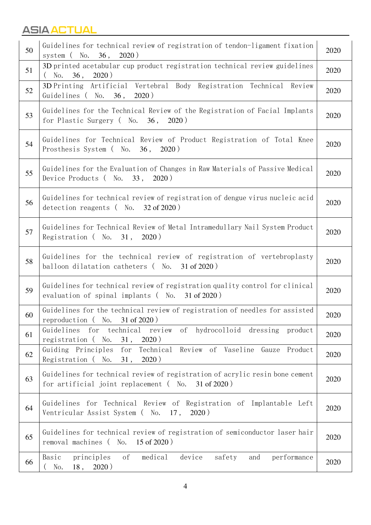| 50 | Guidelines for technical review of registration of tendon-ligament fixation<br>2020)<br>system (No.<br>36,                        | 2020 |
|----|-----------------------------------------------------------------------------------------------------------------------------------|------|
| 51 | 3D printed acetabular cup product registration technical review guidelines<br>2020)<br>36,<br>$($ No.                             | 2020 |
| 52 | Artificial Vertebral Body Registration Technical<br>3D Printing<br>Review<br>Guidelines (No. 36,<br>2020)                         | 2020 |
| 53 | Guidelines for the Technical Review of the Registration of Facial Implants<br>for Plastic Surgery (No. 36, 2020)                  | 2020 |
| 54 | Guidelines for Technical Review of Product Registration of Total Knee<br>Prosthesis System (No.<br>36,<br>2020)                   | 2020 |
| 55 | Guidelines for the Evaluation of Changes in Raw Materials of Passive Medical<br>Device Products $($ No. 33, 2020)                 | 2020 |
| 56 | Guidelines for technical review of registration of dengue virus nucleic acid<br>detection reagents $($ No. 32 of 2020)            | 2020 |
| 57 | Guidelines for Technical Review of Metal Intramedullary Nail System Product<br>Registration (No. 31,<br>2020)                     | 2020 |
| 58 | Guidelines for the technical review of registration of vertebroplasty<br>balloon dilatation catheters (No. 31 of 2020)            | 2020 |
| 59 | Guidelines for technical review of registration quality control for clinical<br>evaluation of spinal implants (No. 31 of 2020)    | 2020 |
| 60 | Guidelines for the technical review of registration of needles for assisted<br>reproduction (No. 31 of 2020)                      | 2020 |
| 61 | for technical review<br>Guidelines<br>of<br>hydrocolloid dressing<br>product<br>registration (No.<br>2020)<br>31,                 | 2020 |
| 62 | Guiding Principles<br>for<br>Technical Review of Vaseline Gauze Product<br>Registration (No.<br>2020)<br>31,                      | 2020 |
| 63 | Guidelines for technical review of registration of acrylic resin bone cement<br>for artificial joint replacement (No. 31 of 2020) | 2020 |
| 64 | Guidelines for Technical Review of Registration of Implantable Left<br>Ventricular Assist System ( No.<br>17,<br>2020)            | 2020 |
| 65 | Guidelines for technical review of registration of semiconductor laser hair<br>15 of $2020$ )<br>removal machines (<br>No.        | 2020 |
| 66 | medical<br>principles<br>of<br>device<br>safety<br>Basic<br>performance<br>and<br>2020)<br>18,<br>No.                             | 2020 |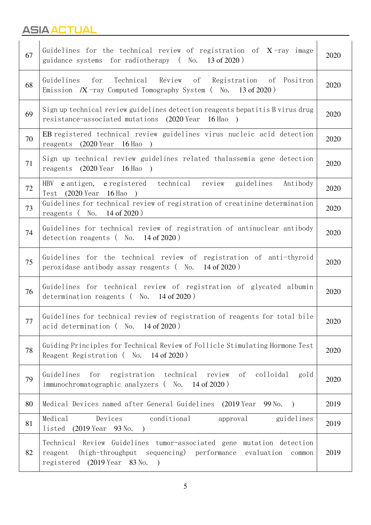| 67 | Guidelines for the technical review of registration of $X$ -ray image<br>guidance systems for radiotherapy (No. 13 of 2020)                                                                             | 2020 |
|----|---------------------------------------------------------------------------------------------------------------------------------------------------------------------------------------------------------|------|
| 68 | Guidelines<br>Technical Review of Registration of Positron<br>for<br>Emission $/X$ -ray Computed Tomography System (No. 13 of 2020)                                                                     | 2020 |
| 69 | Sign up technical review guidelines detection reagents hepatitis B virus drug<br>resistance-associated mutations (2020 Year 16 Hao)                                                                     | 2020 |
| 70 | EB registered technical review guidelines virus nucleic acid detection<br>reagents (2020 Year)<br>$16$ Hao $)$                                                                                          | 2020 |
| 71 | Sign up technical review guidelines related thalassemia gene detection<br>reagents (2020 Year 16 Hao)                                                                                                   | 2020 |
| 72 | e antigen, e registered technical review<br>guidelines<br>Antibody<br>HBV<br>Test (2020 Year 16 Hao)                                                                                                    | 2020 |
| 73 | Guidelines for technical review of registration of creatinine determination<br>reagents $($ No. 14 of 2020)                                                                                             | 2020 |
| 74 | Guidelines for technical review of registration of antinuclear antibody<br>detection reagents $($ No. 14 of 2020)                                                                                       | 2020 |
| 75 | Guidelines for the technical review of registration of anti-thyroid<br>peroxidase antibody assay reagents (No. 14 of 2020)                                                                              | 2020 |
| 76 | Guidelines for technical review of registration of glycated albumin<br>determination reagents $($ No. 14 of 2020)                                                                                       | 2020 |
| 77 | Guidelines for technical review of registration of reagents for total bile<br>acid determination (No.<br>14 of $2020$ )                                                                                 | 2020 |
| 78 | Guiding Principles for Technical Review of Follicle Stimulating Hormone Test<br>Reagent Registration (No. 14 of 2020)                                                                                   | 2020 |
| 79 | registration<br>technical<br>colloidal<br>Guidelines<br>for<br>review<br>οf<br>gold<br>immunochromatographic analyzers (No.<br>14 of $2020$ )                                                           | 2020 |
| 80 | Medical Devices named after General Guidelines (2019 Year<br>99 No.<br>$\lambda$                                                                                                                        | 2019 |
| 81 | Medical<br>Devices<br>conditional<br>guidelines<br>approval<br>listed<br>$(2019$ Year 93 No.                                                                                                            | 2019 |
| 82 | Technical Review Guidelines tumor-associated gene mutation detection<br>(high-throughput sequencing) performance<br>evaluation<br>reagent<br>common<br>registered $(2019 \text{ Year } 83 \text{ No.})$ | 2019 |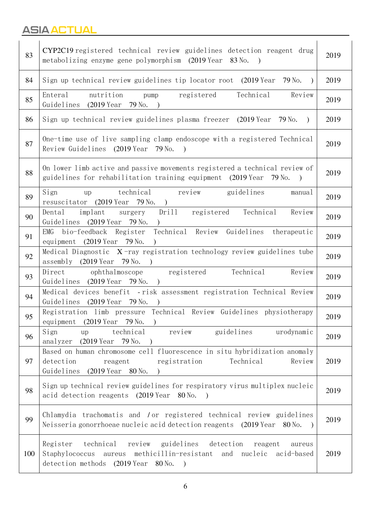| 83  | CYP2C19 registered technical review guidelines detection reagent drug<br>metabolizing enzyme gene polymorphism (2019 Year 83 No.<br>$\rightarrow$                                                                      | 2019 |
|-----|------------------------------------------------------------------------------------------------------------------------------------------------------------------------------------------------------------------------|------|
| 84  | Sign up technical review guidelines tip locator root (2019 Year)<br>79 No.<br>$\lambda$                                                                                                                                | 2019 |
| 85  | Enteral<br>Technical<br>nutrition<br>registered<br>Review<br>pump<br>Guidelines (2019 Year<br>$79 \,\mathrm{No.}$ )                                                                                                    | 2019 |
| 86  | Sign up technical review guidelines plasma freezer (2019 Year<br>79 No.<br>$\rightarrow$                                                                                                                               | 2019 |
| 87  | One-time use of live sampling clamp endoscope with a registered Technical<br>Review Guidelines (2019 Year 79 No.<br>$\rightarrow$                                                                                      | 2019 |
| 88  | On lower limb active and passive movements registered a technical review of<br>guidelines for rehabilitation training equipment (2019 Year<br>79 No.<br>$\rightarrow$                                                  | 2019 |
| 89  | technical<br>Sign<br>guidelines<br>review<br>up<br>manual<br>resuscitator (2019 Year 79 No.                                                                                                                            | 2019 |
| 90  | Drill registered Technical<br>Dental<br>implant<br>Review<br>surgery<br>Guidelines (2019 Year 79 No.<br>$\rightarrow$                                                                                                  | 2019 |
| 91  | Technical Review Guidelines<br>EMG bio-feedback Register<br>therapeutic<br>equipment (2019 Year 79 No.                                                                                                                 | 2019 |
| 92  | Medical Diagnostic $X$ -ray registration technology review guidelines tube<br>assembly $(2019 \text{ Year } 79 \text{ No.})$                                                                                           | 2019 |
| 93  | Technical<br>ophthalmoscope registered<br>Direct<br>Review<br>Guidelines (2019 Year 79 No.)                                                                                                                            | 2019 |
| 94  | Medical devices benefit - risk assessment registration Technical Review<br>Guidelines (2019 Year<br>79 No.<br>$\lambda$                                                                                                | 2019 |
| 95  | Registration limb pressure Technical Review Guidelines physiotherapy<br>equipment (2019 Year 79 No.)                                                                                                                   | 2019 |
| 96  | Sign<br>guidelines<br>technical<br>urodynamic<br>review<br>up<br>analyzer<br>$(2019$ Year<br>79 No.                                                                                                                    | 2019 |
| 97  | Based on human chromosome cell fluorescence in situ hybridization anomaly<br>detection<br>registration<br>Technical<br>Review<br>reagent<br>Guidelines<br>80 No.<br>$(2019$ Year                                       | 2019 |
| 98  | Sign up technical review guidelines for respiratory virus multiplex nucleic<br>acid detection reagents (2019 Year 80 No.<br>$\rightarrow$                                                                              | 2019 |
| 99  | Chlamydia trachomatis and /or registered technical review guidelines<br>Neisseria gonorrhoeae nucleic acid detection reagents (2019 Year<br>80 No.                                                                     | 2019 |
| 100 | technical<br>review<br>guidelines<br>Register<br>detection<br>reagent<br>aureus<br>aureus<br>methicillin-resistant<br>nucleic<br>acid-based<br>Staphylococcus<br>and<br>detection methods (2019 Year 80 No.<br>$\big)$ | 2019 |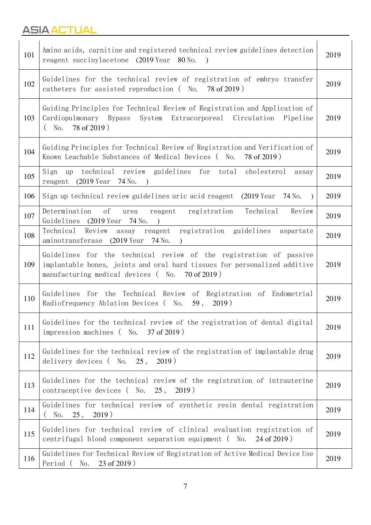| 101 | Amino acids, carnitine and registered technical review guidelines detection<br>reagent succinylacetone<br>$(2019$ Year 80 No.<br>$\rightarrow$                                                    | 2019 |
|-----|---------------------------------------------------------------------------------------------------------------------------------------------------------------------------------------------------|------|
| 102 | Guidelines for the technical review of registration of embryo transfer<br>catheters for assisted reproduction (No. 78 of 2019)                                                                    | 2019 |
| 103 | Guiding Principles for Technical Review of Registration and Application of<br>Cardiopulmonary Bypass<br>System<br>Extracorporeal Circulation<br>Pipeline<br>( No.<br>78 of 2019)                  | 2019 |
| 104 | Guiding Principles for Technical Review of Registration and Verification of<br>Known Leachable Substances of Medical Devices ( No.<br>78 of 2019)                                                 | 2019 |
| 105 | up technical review guidelines for total<br>Sign<br>cholesterol<br>assay<br>reagent (2019 Year)<br>74 No.<br>$\rightarrow$                                                                        | 2019 |
| 106 | Sign up technical review guidelines uric acid reagent<br>(2019 Year<br>74 No.                                                                                                                     | 2019 |
| 107 | Determination<br>of urea<br>registration<br>Technical<br>Review<br>reagent<br>Guidelines<br>(2019 Year 74 No.                                                                                     | 2019 |
| 108 | registration guidelines<br>Technical<br>Review assay reagent<br>aspartate<br>aminotransferase<br>(2019 Year 74 No.                                                                                | 2019 |
| 109 | Guidelines for the technical review of the registration of passive<br>implantable bones, joints and oral hard tissues for personalized additive<br>manufacturing medical devices (No. 70 of 2019) | 2019 |
| 110 | Guidelines for the Technical Review of Registration of Endometrial<br>2019)<br>Radiofrequency Ablation Devices (No.<br>59,                                                                        | 2019 |
| 111 | Guidelines for the technical review of the registration of dental digital<br>impression machines (No. 37 of 2019)                                                                                 | 2019 |
| 112 | Guidelines for the technical review of the registration of implantable drug<br>delivery devices (No. 25,<br>2019)                                                                                 | 2019 |
| 113 | Guidelines for the technical review of the registration of intrauterine<br>contraceptive devices (No. 25, 2019)                                                                                   | 2019 |
| 114 | Guidelines for technical review of synthetic resin dental registration<br>25,<br>2019)<br>No.                                                                                                     | 2019 |
| 115 | Guidelines for technical review of clinical evaluation registration of<br>centrifugal blood component separation equipment (No.<br>24 of 2019)                                                    | 2019 |
| 116 | Guidelines for Technical Review of Registration of Active Medical Device Use<br>Period (<br>No.<br>23 of 2019)                                                                                    | 2019 |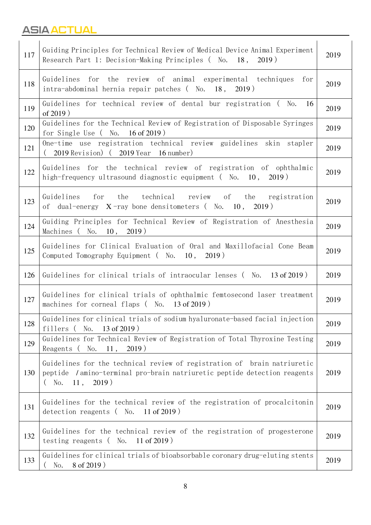| 117 | Guiding Principles for Technical Review of Medical Device Animal Experiment<br>Research Part 1: Decision-Making Principles ( No. 18,<br>2019)                             | 2019 |
|-----|---------------------------------------------------------------------------------------------------------------------------------------------------------------------------|------|
| 118 | Guidelines for the review of animal experimental techniques<br>for<br>intra-abdominal hernia repair patches (No. 18, 2019)                                                | 2019 |
| 119 | Guidelines for technical review of dental bur registration (No.<br><b>16</b><br>of $2019$ )                                                                               | 2019 |
| 120 | Guidelines for the Technical Review of Registration of Disposable Syringes<br>for Single Use $($ No. 16 of 2019)                                                          | 2019 |
| 121 | One-time use registration technical review guidelines skin stapler<br>$(2019 \text{ Revision})$ $(2019 \text{ Year} 16 \text{ number})$                                   | 2019 |
| 122 | Guidelines for the technical review of registration of ophthalmic<br>high-frequency ultrasound diagnostic equipment (No. 10, 2019)                                        | 2019 |
| 123 | Guidelines for the technical review of the registration<br>of dual-energy $X$ -ray bone densitometers (No. 10, 2019)                                                      | 2019 |
| 124 | Guiding Principles for Technical Review of Registration of Anesthesia<br>Machines (No. 10,<br>2019)                                                                       | 2019 |
| 125 | Guidelines for Clinical Evaluation of Oral and Maxillofacial Cone Beam<br>Computed Tomography Equipment (No. 10, 2019)                                                    | 2019 |
| 126 | Guidelines for clinical trials of intraocular lenses (No. 13 of 2019)                                                                                                     | 2019 |
| 127 | Guidelines for clinical trials of ophthalmic femtosecond laser treatment<br>machines for corneal flaps (No. 13 of 2019)                                                   | 2019 |
| 128 | Guidelines for clinical trials of sodium hyaluronate-based facial injection<br>No.<br>13 of 2019)<br>fillers (                                                            | 2019 |
| 129 | Guidelines for Technical Review of Registration of Total Thyroxine Testing<br>2019)<br>Reagents<br>No.<br>11,                                                             | 2019 |
| 130 | Guidelines for the technical review of registration of brain natriuretic<br>peptide /amino-terminal pro-brain natriuretic peptide detection reagents<br>2019)<br>(No. 11, | 2019 |
| 131 | Guidelines for the technical review of the registration of procalcitonin<br>11 of 2019)<br>detection reagents (No.                                                        | 2019 |
| 132 | Guidelines for the technical review of the registration of progesterone<br>11 of $2019$ )<br>testing reagents (No.                                                        | 2019 |
| 133 | Guidelines for clinical trials of bioabsorbable coronary drug-eluting stents<br>No.<br>8 of 2019)                                                                         | 2019 |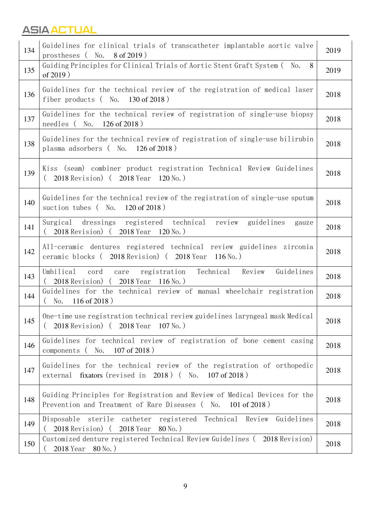# ASIA ACTUAL

| 134 | Guidelines for clinical trials of transcatheter implantable aortic valve<br>prostheses (No.<br>8 of 2019)                                        | 2019 |
|-----|--------------------------------------------------------------------------------------------------------------------------------------------------|------|
| 135 | Guiding Principles for Clinical Trials of Aortic Stent Graft System (No.<br>8<br>of $2019$ )                                                     | 2019 |
| 136 | Guidelines for the technical review of the registration of medical laser<br>fiber products $($ No. 130 of 2018)                                  | 2018 |
| 137 | Guidelines for the technical review of registration of single-use biopsy<br>$126$ of $2018$ )<br>needles (<br>No.                                | 2018 |
| 138 | Guidelines for the technical review of registration of single-use bilirubin<br>plasma adsorbers (No. 126 of 2018)                                | 2018 |
| 139 | Kiss (seam) combiner product registration Technical Review Guidelines<br>(2018 Revision) (2018 Year 120 No.)                                     | 2018 |
| 140 | Guidelines for the technical review of the registration of single-use sputum<br>suction tubes $($ No. 120 of 2018)                               | 2018 |
| 141 | Surgical dressings registered technical review<br>guidelines<br>gauze<br>(2018 Revision) (2018 Year 120 No.)                                     | 2018 |
| 142 | All-ceramic dentures registered technical review guidelines zirconia<br>ceramic blocks (2018 Revision) (2018 Year 116 No.)                       | 2018 |
| 143 | registration Technical<br>Guidelines<br>Umbilical<br>Review<br>cord care<br>2018 Revision) (2018 Year 116 No.)                                   | 2018 |
| 144 | Guidelines for the technical review of manual wheelchair registration<br>116 of $2018$ )<br>No.                                                  | 2018 |
| 145 | One-time use registration technical review guidelines laryngeal mask Medical<br>2018 Revision) (2018 Year 107 No.)                               | 2018 |
| 146 | Guidelines for technical review of registration of bone cement casing<br>$107$ of $2018$ )<br>$($ No.<br>components                              | 2018 |
| 147 | Guidelines for the technical review of the registration of orthopedic<br>external fixators (revised in 2018) (No. 107 of 2018)                   | 2018 |
| 148 | Guiding Principles for Registration and Review of Medical Devices for the<br>Prevention and Treatment of Rare Diseases (No.<br>$101$ of $2018$ ) | 2018 |
| 149 | sterile catheter registered Technical<br>Disposable<br>Guidelines<br>Review<br>2018 Revision) (2018 Year<br>$80$ No. $)$                         | 2018 |
| 150 | Customized denture registered Technical Review Guidelines (2018 Revision)<br>2018 Year<br>$80$ No.)                                              | 2018 |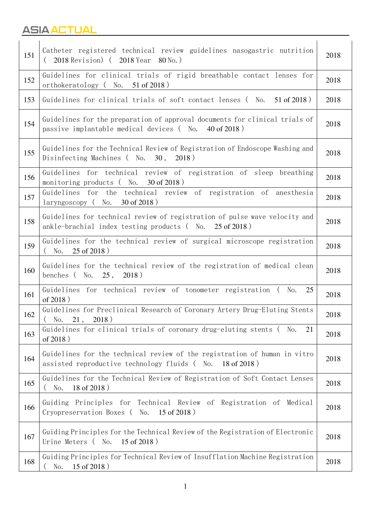| 151 | Catheter registered technical review guidelines nasogastric nutrition<br>(2018 Revision) (2018 Year 80 No.)                           | 2018 |
|-----|---------------------------------------------------------------------------------------------------------------------------------------|------|
| 152 | Guidelines for clinical trials of rigid breathable contact lenses for<br>orthokeratology (No. 51 of 2018)                             | 2018 |
| 153 | Guidelines for clinical trials of soft contact lenses (No. 51 of 2018)                                                                | 2018 |
| 154 | Guidelines for the preparation of approval documents for clinical trials of<br>passive implantable medical devices (No. 40 of 2018)   | 2018 |
| 155 | Guidelines for the Technical Review of Registration of Endoscope Washing and<br>Disinfecting Machines (No. 30, 2018)                  | 2018 |
| 156 | Guidelines for technical review of registration of sleep breathing<br>monitoring products (No.<br>30 of 2018)                         | 2018 |
| 157 | Guidelines for the technical review of registration of anesthesia<br>30 of 2018)<br>laryngoscopy (No.                                 | 2018 |
| 158 | Guidelines for technical review of registration of pulse wave velocity and<br>ankle-brachial index testing products (No. 25 of 2018)  | 2018 |
| 159 | Guidelines for the technical review of surgical microscope registration<br>25 of 2018)<br>No.                                         | 2018 |
| 160 | Guidelines for the technical review of the registration of medical clean<br>25,<br>benches ( No.<br>2018)                             | 2018 |
| 161 | Guidelines for technical review of tonometer registration (No.<br>25<br>of $2018$ )                                                   | 2018 |
| 162 | Guidelines for Preclinical Research of Coronary Artery Drug-Eluting Stents<br>2018)<br>No.<br>21,                                     | 2018 |
| 163 | Guidelines for clinical trials of coronary drug-eluting stents (No.<br>21<br>of 2018)                                                 | 2018 |
| 164 | Guidelines for the technical review of the registration of human in vitro<br>assisted reproductive technology fluids (No. 18 of 2018) | 2018 |
| 165 | Guidelines for the Technical Review of Registration of Soft Contact Lenses<br>18 of 2018)<br>No.                                      | 2018 |
| 166 | Guiding Principles for Technical Review of Registration of Medical<br>Cryopreservation Boxes (No. 15 of 2018)                         | 2018 |
| 167 | Guiding Principles for the Technical Review of the Registration of Electronic<br>15 of 2018)<br>Urine Meters (No.                     | 2018 |
| 168 | Guiding Principles for Technical Review of Insufflation Machine Registration<br>15 of 2018)<br>No.                                    | 2018 |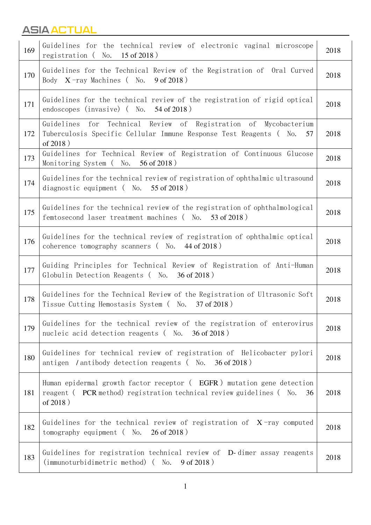| 169 | Guidelines for the technical review of electronic vaginal microscope<br>No. $15 \text{ of } 2018$ )<br>registration (                                               | 2018 |
|-----|---------------------------------------------------------------------------------------------------------------------------------------------------------------------|------|
| 170 | Guidelines for the Technical Review of the Registration of Oral Curved<br>Body $X$ -ray Machines (No. 9 of 2018)                                                    | 2018 |
| 171 | Guidelines for the technical review of the registration of rigid optical<br>endoscopes (invasive) (No. 54 of 2018)                                                  | 2018 |
| 172 | Guidelines for Technical Review of Registration of Mycobacterium<br>Tuberculosis Specific Cellular Immune Response Test Reagents ( No.<br>57<br>of $2018$ )         | 2018 |
| 173 | Guidelines for Technical Review of Registration of Continuous Glucose<br>Monitoring System (No. 56 of 2018)                                                         | 2018 |
| 174 | Guidelines for the technical review of registration of ophthalmic ultrasound<br>diagnostic equipment ( $\overline{N}$ o. 55 of 2018)                                | 2018 |
| 175 | Guidelines for the technical review of the registration of ophthalmological<br>femtosecond laser treatment machines (No. 53 of 2018)                                | 2018 |
| 176 | Guidelines for the technical review of registration of ophthalmic optical<br>coherence tomography scanners (No. 44 of 2018)                                         | 2018 |
| 177 | Guiding Principles for Technical Review of Registration of Anti-Human<br>Globulin Detection Reagents (No. 36 of 2018)                                               | 2018 |
| 178 | Guidelines for the Technical Review of the Registration of Ultrasonic Soft<br>Tissue Cutting Hemostasis System (No. 37 of 2018)                                     | 2018 |
| 179 | Guidelines for the technical review of the registration of enterovirus<br>nucleic acid detection reagents (No. 36 of 2018)                                          | 2018 |
| 180 | Guidelines for technical review of registration of Helicobacter pylori<br>antigen / antibody detection reagents (No. 36 of 2018)                                    | 2018 |
| 181 | Human epidermal growth factor receptor ( EGFR) mutation gene detection<br>reagent ( PCR method) registration technical review guidelines ( No.<br>36<br>of $2018$ ) | 2018 |
| 182 | Guidelines for the technical review of registration of $X$ -ray computed<br>26 of 2018)<br>tomography equipment (No.                                                | 2018 |
| 183 | Guidelines for registration technical review of D-dimer assay reagents<br>$\text{(immunoturbidimetric method)}$ (No. 9 of 2018)                                     | 2018 |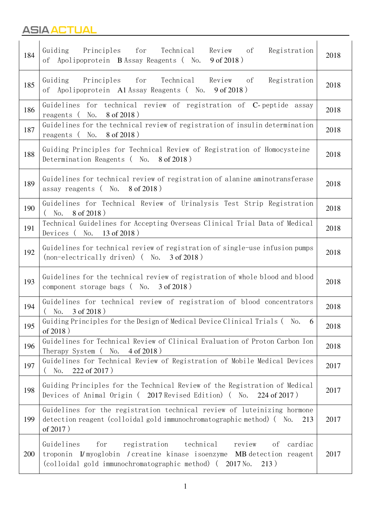| 184 | Principles for<br>Technical Review<br>of<br>Registration<br>Guiding<br>Apolipoprotein <b>B</b> Assay Reagents (No.<br>$9$ of 2018)<br>οf                                                                              | 2018 |
|-----|-----------------------------------------------------------------------------------------------------------------------------------------------------------------------------------------------------------------------|------|
| 185 | Technical Review of<br>Guiding Principles<br>for<br>Registration<br>Apolipoprotein Al Assay Reagents (No. 9 of 2018)<br>οf                                                                                            | 2018 |
| 186 | Guidelines for technical review of registration of C-peptide assay<br>8 of 2018)<br>No.<br>reagents (                                                                                                                 | 2018 |
| 187 | Guidelines for the technical review of registration of insulin determination<br>8 of 2018)<br>No.<br>reagents (                                                                                                       | 2018 |
| 188 | Guiding Principles for Technical Review of Registration of Homocysteine<br>Determination Reagents (No. 8 of 2018)                                                                                                     | 2018 |
| 189 | Guidelines for technical review of registration of alanine aminotransferase<br>assay reagents (No. 8 of 2018)                                                                                                         | 2018 |
| 190 | Guidelines for Technical Review of Urinalysis Test Strip Registration<br>8 of 2018)<br>No.                                                                                                                            | 2018 |
| 191 | Technical Guidelines for Accepting Overseas Clinical Trial Data of Medical<br>13 of 2018)<br>Devices (<br>No.                                                                                                         | 2018 |
| 192 | Guidelines for technical review of registration of single-use infusion pumps<br>(non-electrically driven) ( No.<br>3 of 2018)                                                                                         | 2018 |
| 193 | Guidelines for the technical review of registration of whole blood and blood<br>component storage bags (No. 3 of 2018)                                                                                                | 2018 |
| 194 | Guidelines for technical review of registration of blood concentrators<br>No. $3 \text{ of } 2018$ )                                                                                                                  | 2018 |
| 195 | Guiding Principles for the Design of Medical Device Clinical Trials (No.<br>6<br>of 2018)                                                                                                                             | 2018 |
| 196 | Guidelines for Technical Review of Clinical Evaluation of Proton Carbon Ion<br>Therapy System (No.<br>$4$ of 2018)                                                                                                    | 2018 |
| 197 | Guidelines for Technical Review of Registration of Mobile Medical Devices<br>222 of 2017)<br>No.                                                                                                                      | 2017 |
| 198 | Guiding Principles for the Technical Review of the Registration of Medical<br>Devices of Animal Origin (2017 Revised Edition) (No.<br>224 of 2017)                                                                    | 2017 |
| 199 | Guidelines for the registration technical review of luteinizing hormone<br>detection reagent (colloidal gold immunochromatographic method) (No.<br>213<br>of $2017$ )                                                 | 2017 |
| 200 | Guidelines<br>for<br>technical<br>review<br>cardiac<br>registration<br>of<br>troponin I/myoglobin / creatine kinase isoenzyme MB detection reagent<br>(colloidal gold immunochromatographic method) (2017 No.<br>213) | 2017 |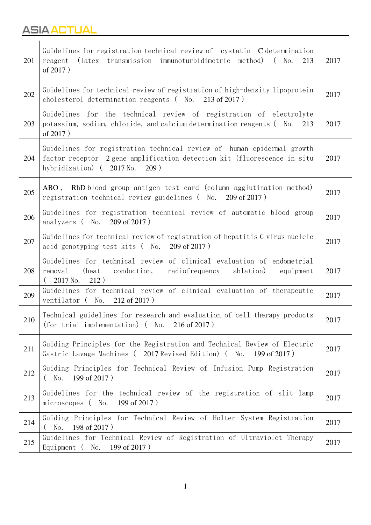| 201 | Guidelines for registration technical review of cystatin C determination<br>(latex transmission immunoturbidimetric method) (No.<br>reagent<br>213<br>of $2017$ )                      | 2017 |
|-----|----------------------------------------------------------------------------------------------------------------------------------------------------------------------------------------|------|
| 202 | Guidelines for technical review of registration of high-density lipoprotein<br>cholesterol determination reagents (No. 213 of 2017)                                                    | 2017 |
| 203 | Guidelines for the technical review of registration of electrolyte<br>potassium, sodium, chloride, and calcium determination reagents (No.<br>213<br>of $2017$ )                       | 2017 |
| 204 | Guidelines for registration technical review of human epidermal growth<br>factor receptor 2 gene amplification detection kit (fluorescence in situ<br>hybridization) (2017 No.<br>209) | 2017 |
| 205 | ABO, RhD blood group antigen test card (column agglutination method)<br>registration technical review guidelines (No. 209 of 2017)                                                     | 2017 |
| 206 | Guidelines for registration technical review of automatic blood group<br>209 of 2017)<br>analyzers (<br>No.                                                                            | 2017 |
| 207 | Guidelines for technical review of registration of hepatitis C virus nucleic<br>acid genotyping test kits (No.<br>209 of 2017)                                                         | 2017 |
| 208 | Guidelines for technical review of clinical evaluation of endometrial<br>ablation)<br>removal<br>(heat)<br>conduction,<br>radiofrequency<br>equipment<br>2017 No.<br>212)              | 2017 |
| 209 | Guidelines for technical review of clinical evaluation of therapeutic<br>ventilator (No.<br>212 of 2017)                                                                               | 2017 |
| 210 | Technical guidelines for research and evaluation of cell therapy products<br>(for trial implementation) ( $\overline{N}$ o. 216 of 2017)                                               | 2017 |
| 211 | Guiding Principles for the Registration and Technical Review of Electric<br>Gastric Lavage Machines (2017 Revised Edition) (No.<br>199 of 2017)                                        | 2017 |
| 212 | Guiding Principles for Technical Review of Infusion Pump Registration<br>199 of 2017)<br>No.                                                                                           | 2017 |
| 213 | Guidelines for the technical review of the registration of slit lamp<br>199 of 2017)<br>microscopes (No.                                                                               | 2017 |
| 214 | Guiding Principles for Technical Review of Holter System Registration<br>198 of 2017)<br>No.                                                                                           | 2017 |
| 215 | Guidelines for Technical Review of Registration of Ultraviolet Therapy<br>199 of 2017)<br>Equipment (<br>No.                                                                           | 2017 |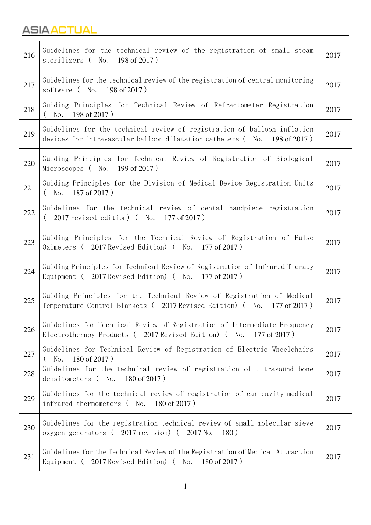| 216 | Guidelines for the technical review of the registration of small steam<br>sterilizers (No. 198 of 2017)                                              | 2017 |
|-----|------------------------------------------------------------------------------------------------------------------------------------------------------|------|
| 217 | Guidelines for the technical review of the registration of central monitoring<br>software $($ No. 198 of 2017)                                       | 2017 |
| 218 | Guiding Principles for Technical Review of Refractometer Registration<br>198 of 2017)<br>No.                                                         | 2017 |
| 219 | Guidelines for the technical review of registration of balloon inflation<br>devices for intravascular balloon dilatation catheters (No. 198 of 2017) | 2017 |
| 220 | Guiding Principles for Technical Review of Registration of Biological<br>Microscopes $($ No. 199 of 2017)                                            | 2017 |
| 221 | Guiding Principles for the Division of Medical Device Registration Units<br>187 of 2017)<br>No.                                                      | 2017 |
| 222 | Guidelines for the technical review of dental handpiece registration<br>$(2017$ revised edition) $(No. 177$ of 2017)                                 | 2017 |
| 223 | Guiding Principles for the Technical Review of Registration of Pulse<br>Oximeters (2017 Revised Edition) (No. 177 of 2017)                           | 2017 |
| 224 | Guiding Principles for Technical Review of Registration of Infrared Therapy<br>Equipment (2017 Revised Edition) (No. 177 of 2017)                    | 2017 |
| 225 | Guiding Principles for the Technical Review of Registration of Medical<br>Temperature Control Blankets ( 2017 Revised Edition) ( No. 177 of 2017)    | 2017 |
| 226 | Guidelines for Technical Review of Registration of Intermediate Frequency<br>Electrotherapy Products (2017 Revised Edition) (No.<br>177 of 2017)     | 2017 |
| 227 | Guidelines for Technical Review of Registration of Electric Wheelchairs<br>180 of 2017)<br>No.                                                       | 2017 |
| 228 | Guidelines for the technical review of registration of ultrasound bone<br>180 of 2017)<br>densitometers (No.                                         | 2017 |
| 229 | Guidelines for the technical review of registration of ear cavity medical<br>infrared thermometers (No.<br>180 of 2017)                              | 2017 |
| 230 | Guidelines for the registration technical review of small molecular sieve<br>oxygen generators (2017 revision) (2017 No.<br>180)                     | 2017 |
| 231 | Guidelines for the Technical Review of the Registration of Medical Attraction<br>Equipment ( 2017 Revised Edition) ( No.<br>180 of 2017)             | 2017 |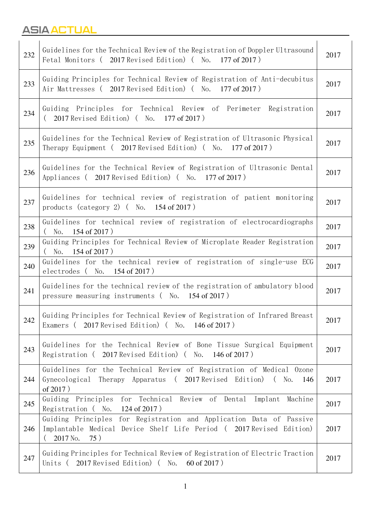| 232 | Guidelines for the Technical Review of the Registration of Doppler Ultrasound<br>Fetal Monitors (2017 Revised Edition) (No. 177 of 2017)                       | 2017 |
|-----|----------------------------------------------------------------------------------------------------------------------------------------------------------------|------|
| 233 | Guiding Principles for Technical Review of Registration of Anti-decubitus<br>Air Mattresses (2017 Revised Edition) (No. 177 of 2017)                           | 2017 |
| 234 | Guiding Principles for Technical Review of Perimeter<br>Registration<br>(2017 Revised Edition) (No. 177 of 2017)                                               | 2017 |
| 235 | Guidelines for the Technical Review of Registration of Ultrasonic Physical<br>Therapy Equipment ( 2017 Revised Edition) ( No. 177 of 2017)                     | 2017 |
| 236 | Guidelines for the Technical Review of Registration of Ultrasonic Dental<br>Appliances (2017 Revised Edition) (No. 177 of 2017)                                | 2017 |
| 237 | Guidelines for technical review of registration of patient monitoring<br>products (category 2) (No.<br>154 of 2017)                                            | 2017 |
| 238 | Guidelines for technical review of registration of electrocardiographs<br>154 of 2017)<br>No.                                                                  | 2017 |
| 239 | Guiding Principles for Technical Review of Microplate Reader Registration<br>154 of 2017)<br>No.                                                               | 2017 |
| 240 | Guidelines for the technical review of registration of single-use ECG<br>electrodes $($ No. 154 of 2017)                                                       | 2017 |
| 241 | Guidelines for the technical review of the registration of ambulatory blood<br>pressure measuring instruments (No. 154 of 2017)                                | 2017 |
| 242 | Guiding Principles for Technical Review of Registration of Infrared Breast<br>Examers (2017 Revised Edition) (No. 146 of 2017)                                 | 2017 |
| 243 | Guidelines for the Technical Review of Bone Tissue Surgical Equipment<br>Registration (2017 Revised Edition) (No. 146 of 2017)                                 | 2017 |
| 244 | Guidelines for the Technical Review of Registration of Medical Ozone<br>Gynecological Therapy Apparatus (2017 Revised Edition) (No.<br>146<br>of $2017$ )      | 2017 |
| 245 | Guiding Principles for Technical Review of Dental<br>Implant Machine<br>Registration $($ No. 124 of 2017)                                                      | 2017 |
| 246 | Guiding Principles for Registration and Application Data of Passive<br>Implantable Medical Device Shelf Life Period (2017 Revised Edition)<br>75)<br>(2017 No. | 2017 |
| 247 | Guiding Principles for Technical Review of Registration of Electric Traction<br>Units $(2017 \text{ Revised Edition})$ $($ No. 60 of 2017)                     | 2017 |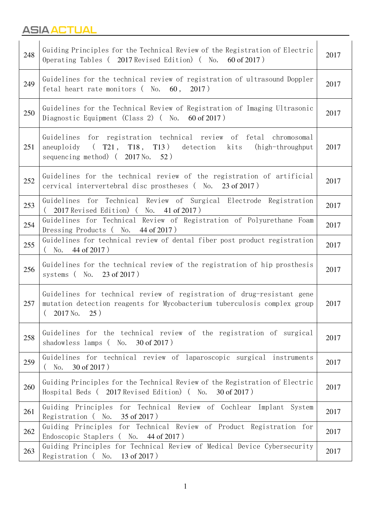| 248 | Guiding Principles for the Technical Review of the Registration of Electric<br>Operating Tables (2017 Revised Edition) (No. 60 of 2017)                                                 | 2017 |
|-----|-----------------------------------------------------------------------------------------------------------------------------------------------------------------------------------------|------|
| 249 | Guidelines for the technical review of registration of ultrasound Doppler<br>fetal heart rate monitors (No. 60,<br>2017)                                                                | 2017 |
| 250 | Guidelines for the Technical Review of Registration of Imaging Ultrasonic<br>Diagnostic Equipment (Class 2) ( $\overline{N}$ No. 60 of 2017)                                            | 2017 |
| 251 | Guidelines for registration technical review of fetal chromosomal<br>(T21, T18, T13)<br>aneuploidy<br>detection<br>kits<br>$(high-th roughput$<br>sequencing method) $(2017$ No.<br>52) | 2017 |
| 252 | Guidelines for the technical review of the registration of artificial<br>cervical intervertebral disc prostheses (No. 23 of 2017)                                                       | 2017 |
| 253 | Guidelines for Technical Review of Surgical Electrode Registration<br>2017 Revised Edition) (No.<br>41 of 2017)                                                                         | 2017 |
| 254 | Guidelines for Technical Review of Registration of Polyurethane Foam<br>Dressing Products (No. 44 of 2017)                                                                              | 2017 |
| 255 | Guidelines for technical review of dental fiber post product registration<br>44 of 2017)<br>$($ No.                                                                                     | 2017 |
| 256 | Guidelines for the technical review of the registration of hip prosthesis<br>23 of 2017)<br>No.<br>systems (                                                                            | 2017 |
| 257 | Guidelines for technical review of registration of drug-resistant gene<br>mutation detection reagents for Mycobacterium tuberculosis complex group<br>(2017 No.<br>25)                  | 2017 |
| 258 | Guidelines for the technical review of the registration of surgical<br>shadowless lamps (No. 30 of 2017)                                                                                | 2017 |
| 259 | Guidelines for technical review of laparoscopic surgical instruments<br>30 of 2017)<br>No.                                                                                              | 2017 |
| 260 | Guiding Principles for the Technical Review of the Registration of Electric<br>Hospital Beds (2017 Revised Edition) (No. 30 of 2017)                                                    | 2017 |
| 261 | Guiding Principles for Technical Review of Cochlear Implant System<br>Registration $($ No. 35 of 2017)                                                                                  | 2017 |
| 262 | Guiding Principles for Technical Review of Product Registration for<br>Endoscopic Staplers ( No.<br>44 of 2017)                                                                         | 2017 |
| 263 | Guiding Principles for Technical Review of Medical Device Cybersecurity<br>Registration (No.<br>13 of 2017)                                                                             | 2017 |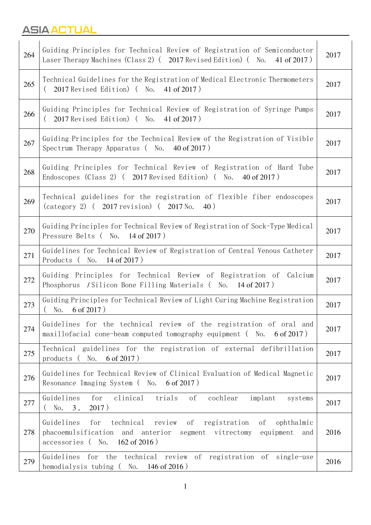| 264 | Guiding Principles for Technical Review of Registration of Semiconductor<br>Laser Therapy Machines (Class 2) (2017 Revised Edition) (No. 41 of 2017)                                                 | 2017 |
|-----|------------------------------------------------------------------------------------------------------------------------------------------------------------------------------------------------------|------|
| 265 | Technical Guidelines for the Registration of Medical Electronic Thermometers<br>(2017 Revised Edition) (No. 41 of 2017)                                                                              | 2017 |
| 266 | Guiding Principles for Technical Review of Registration of Syringe Pumps<br>(2017 Revised Edition) (No. 41 of 2017)                                                                                  | 2017 |
| 267 | Guiding Principles for the Technical Review of the Registration of Visible<br>Spectrum Therapy Apparatus (No. 40 of 2017)                                                                            | 2017 |
| 268 | Guiding Principles for Technical Review of Registration of Hard Tube<br>Endoscopes (Class 2) ( 2017 Revised Edition) ( No.<br>40 of 2017)                                                            | 2017 |
| 269 | Technical guidelines for the registration of flexible fiber endoscopes<br>$(\text{category } 2)$ (2017 revision) (2017 No.<br>40)                                                                    | 2017 |
| 270 | Guiding Principles for Technical Review of Registration of Sock-Type Medical<br>Pressure Belts (No. 14 of 2017)                                                                                      | 2017 |
| 271 | Guidelines for Technical Review of Registration of Central Venous Catheter<br>14 of 2017)<br>Products (<br>No.                                                                                       | 2017 |
| 272 | Guiding Principles for Technical Review of Registration of Calcium<br>Phosphorus / Silicon Bone Filling Materials (No. 14 of 2017)                                                                   | 2017 |
| 273 | Guiding Principles for Technical Review of Light Curing Machine Registration<br>6 of $2017$ )<br>No.                                                                                                 | 2017 |
| 274 | Guidelines for the technical review of the registration of oral and<br>maxillofacial cone-beam computed tomography equipment (No. 6 of 2017)                                                         | 2017 |
| 275 | Technical guidelines for the registration of external defibrillation<br>products (<br>6 of 2017)<br>No.                                                                                              | 2017 |
| 276 | Guidelines for Technical Review of Clinical Evaluation of Medical Magnetic<br>Resonance Imaging System (No. 6 of 2017)                                                                               | 2017 |
| 277 | clinical<br>Guidelines<br>for<br>trials<br>of<br>cochlear<br>implant<br>systems<br>No. 3,<br>2017)                                                                                                   | 2017 |
| 278 | Guidelines<br>for<br>technical<br>ophthalmic<br>review<br>οf<br>registration<br>οf<br>phacoemulsification and anterior<br>segment vitrectomy<br>equipment<br>and<br>162 of 2016)<br>accessories (No. | 2016 |
| 279 | Guidelines for the technical review of<br>registration of single-use<br>hemodialysis tubing (No. 146 of 2016)                                                                                        | 2016 |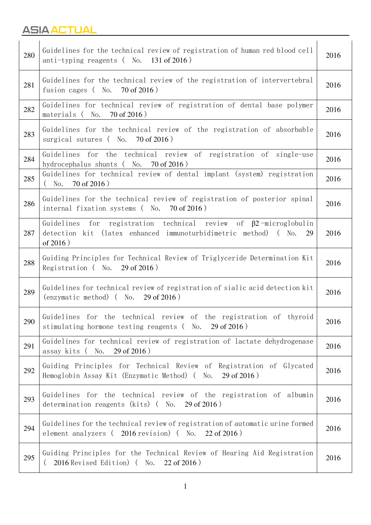| 280 | Guidelines for the technical review of registration of human red blood cell<br>anti-typing reagents ( $\overline{N}$ o. 131 of 2016)                               | 2016 |
|-----|--------------------------------------------------------------------------------------------------------------------------------------------------------------------|------|
| 281 | Guidelines for the technical review of the registration of intervertebral<br>fusion cages (No.<br>70 of 2016)                                                      | 2016 |
| 282 | Guidelines for technical review of registration of dental base polymer<br>$70$ of 2016)<br>materials (<br>No.                                                      | 2016 |
| 283 | Guidelines for the technical review of the registration of absorbable<br>surgical sutures (No. 70 of 2016)                                                         | 2016 |
| 284 | Guidelines for the technical review of registration of single-use<br>hydrocephalus shunts $(No. 70 of 2016)$                                                       | 2016 |
| 285 | Guidelines for technical review of dental implant (system) registration<br>$70$ of $2016$ )<br>$($ No.                                                             | 2016 |
| 286 | Guidelines for the technical review of registration of posterior spinal<br>internal fixation systems (No. 70 of 2016)                                              | 2016 |
| 287 | Guidelines for registration technical review of $\beta$ 2-microglobulin<br>detection kit (latex enhanced immunoturbidimetric method) (<br>No.<br>29<br>of $2016$ ) | 2016 |
| 288 | Guiding Principles for Technical Review of Triglyceride Determination Kit<br>Registration $($ No. 29 of 2016)                                                      | 2016 |
| 289 | Guidelines for technical review of registration of sialic acid detection kit<br>(enzymatic method) (No.<br>$29$ of $2016$ )                                        | 2016 |
| 290 | Guidelines for the technical review of the registration of thyroid<br>stimulating hormone testing reagents (No. 29 of 2016)                                        | 2016 |
| 291 | Guidelines for technical review of registration of lactate dehydrogenase<br>assay kits (No.<br>$29$ of $2016$ )                                                    | 2016 |
| 292 | Guiding Principles for Technical Review of Registration of Glycated<br>Hemoglobin Assay Kit (Enzymatic Method) ( No.<br>$29$ of $2016$ )                           | 2016 |
| 293 | Guidelines for the technical review of the registration of albumin<br>determination reagents (kits) (No.<br>$29$ of $2016$ )                                       | 2016 |
| 294 | Guidelines for the technical review of registration of automatic urine formed<br>element analyzers (2016 revision) (No.<br>$22$ of $2016$ )                        | 2016 |
| 295 | Guiding Principles for the Technical Review of Hearing Aid Registration<br>2016 Revised Edition) (No. 22 of 2016)                                                  | 2016 |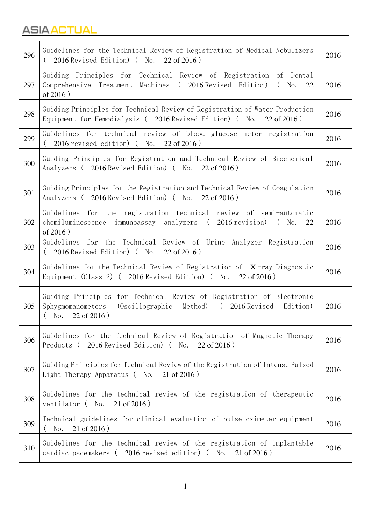| 296 | Guidelines for the Technical Review of Registration of Medical Nebulizers<br>2016 Revised Edition) ( No.<br>$22$ of 2016)<br>$\left($                                              | 2016 |
|-----|------------------------------------------------------------------------------------------------------------------------------------------------------------------------------------|------|
| 297 | Guiding Principles for Technical Review of Registration of Dental<br>Comprehensive Treatment<br>Machines<br>(2016 Revised Edition)<br>$\left($<br>No.<br>22<br>of 2016)            | 2016 |
| 298 | Guiding Principles for Technical Review of Registration of Water Production<br>Equipment for Hemodialysis (2016 Revised Edition) (No.<br>22 of 2016)                               | 2016 |
| 299 | Guidelines for technical review of blood glucose meter registration<br>2016 revised edition) (<br>No.<br>$22$ of $2016$ )                                                          | 2016 |
| 300 | Guiding Principles for Registration and Technical Review of Biochemical<br>Analyzers (2016 Revised Edition) (No. 22 of 2016)                                                       | 2016 |
| 301 | Guiding Principles for the Registration and Technical Review of Coagulation<br>Analyzers (2016 Revised Edition) (No. 22 of 2016)                                                   | 2016 |
| 302 | Guidelines for the registration technical review of semi-automatic<br>chemiluminescence immunoassay analyzers (2016 revision) (No.<br>22<br>of $2016$ )                            | 2016 |
| 303 | Guidelines for the Technical Review of Urine Analyzer Registration<br>2016 Revised Edition) (<br>No.<br>$22$ of $2016$ )                                                           | 2016 |
| 304 | Guidelines for the Technical Review of Registration of $X$ -ray Diagnostic<br>Equipment (Class 2) ( 2016 Revised Edition) ( No. 22 of 2016)                                        | 2016 |
| 305 | Guiding Principles for Technical Review of Registration of Electronic<br>$(0\text{scillographic}$<br>Method)<br>Sphygmomanometers<br>(2016 Revised<br>Edition)<br>(No. 22 of 2016) | 2016 |
| 306 | Guidelines for the Technical Review of Registration of Magnetic Therapy<br>Products (<br>2016 Revised Edition) (No.<br>$22$ of 2016)                                               | 2016 |
| 307 | Guiding Principles for Technical Review of the Registration of Intense Pulsed<br>Light Therapy Apparatus (No. 21 of 2016)                                                          | 2016 |
| 308 | Guidelines for the technical review of the registration of therapeutic<br>ventilator (No.<br>$21$ of $2016$ )                                                                      | 2016 |
| 309 | Technical guidelines for clinical evaluation of pulse oximeter equipment<br>$21$ of $2016$ )<br>$($ No.                                                                            | 2016 |
| 310 | Guidelines for the technical review of the registration of implantable<br>cardiac pacemakers (2016 revised edition) (No. 21 of 2016)                                               | 2016 |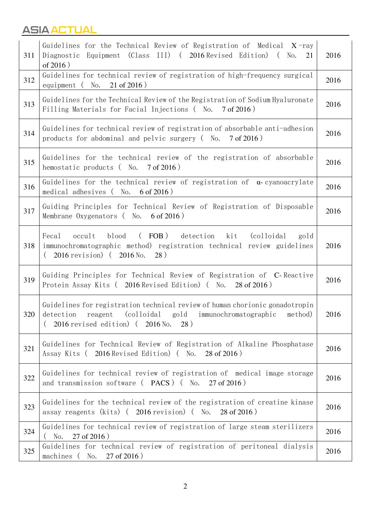| 311 | Guidelines for the Technical Review of Registration of Medical $X$ -ray<br>Diagnostic Equipment (Class III) (2016 Revised Edition) (<br>No.<br>21<br>of $2016$ )                                        | 2016 |
|-----|---------------------------------------------------------------------------------------------------------------------------------------------------------------------------------------------------------|------|
| 312 | Guidelines for technical review of registration of high-frequency surgical<br>$21$ of $2016$ )<br>No.<br>equipment (                                                                                    | 2016 |
| 313 | Guidelines for the Technical Review of the Registration of Sodium Hyaluronate<br>Filling Materials for Facial Injections (No. 7 of 2016)                                                                | 2016 |
| 314 | Guidelines for technical review of registration of absorbable anti-adhesion<br>products for abdominal and pelvic surgery (No. 7 of 2016)                                                                | 2016 |
| 315 | Guidelines for the technical review of the registration of absorbable<br>hemostatic products (No.<br>7 of 2016)                                                                                         | 2016 |
| 316 | Guidelines for the technical review of registration of $\alpha$ -cyanoacrylate<br>6 of $2016$ )<br>medical adhesives (No.                                                                               | 2016 |
| 317 | Guiding Principles for Technical Review of Registration of Disposable<br>Membrane Oxygenators (No. 6 of 2016)                                                                                           | 2016 |
| 318 | (FOB) detection kit<br>Fecal<br>occult<br>blood<br>(colloidal)<br>gold<br>immunochromatographic method) registration technical review guidelines<br>2016 revision) (2016 No.<br><b>28</b> )<br>$\left($ | 2016 |
| 319 | Guiding Principles for Technical Review of Registration of C-Reactive<br>Protein Assay Kits (2016 Revised Edition) (No.<br>$28$ of $2016$ )                                                             | 2016 |
| 320 | Guidelines for registration technical review of human chorionic gonadotropin<br>(colloidal<br>gold immunochromatographic<br>detection<br>method)<br>reagent<br>2016 revised edition) (2016 No. 28)      | 2016 |
| 321 | Guidelines for Technical Review of Registration of Alkaline Phosphatase<br>Assay Kits (2016 Revised Edition) (No. 28 of 2016)                                                                           | 2016 |
| 322 | Guidelines for technical review of registration of medical image storage<br>and transmission software (PACS) (No. 27 of 2016)                                                                           | 2016 |
| 323 | Guidelines for the technical review of the registration of creatine kinase<br>assay reagents (kits) (2016 revision) (No. 28 of 2016)                                                                    | 2016 |
| 324 | Guidelines for technical review of registration of large steam sterilizers<br>27 of 2016)<br>No.<br>$\left($                                                                                            | 2016 |
| 325 | Guidelines for technical review of registration of peritoneal dialysis<br>27 of 2016)<br>machines (No.                                                                                                  | 2016 |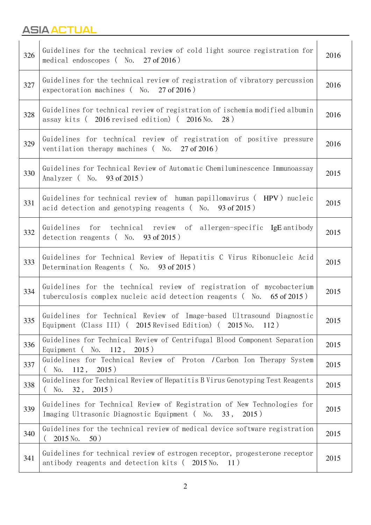| 326 | Guidelines for the technical review of cold light source registration for<br>medical endoscopes (No. 27 of 2016)                                 | 2016 |
|-----|--------------------------------------------------------------------------------------------------------------------------------------------------|------|
| 327 | Guidelines for the technical review of registration of vibratory percussion<br>expectoration machines ( $\overline{N}$ o. 27 of 2016)            | 2016 |
| 328 | Guidelines for technical review of registration of ischemia modified albumin<br>assay kits (2016 revised edition) (2016 No.<br>28)               | 2016 |
| 329 | Guidelines for technical review of registration of positive pressure<br>ventilation therapy machines $(No. 27 of 2016)$                          | 2016 |
| 330 | Guidelines for Technical Review of Automatic Chemiluminescence Immunoassay<br>Analyzer ( $\overline{N}$ o. 93 of 2015)                           | 2015 |
| 331 | Guidelines for technical review of human papillomavirus (HPV) nucleic<br>acid detection and genotyping reagents (No. 93 of 2015)                 | 2015 |
| 332 | for technical review of allergen-specific IgE antibody<br>Guidelines<br>detection reagents $($ No. 93 of 2015)                                   | 2015 |
| 333 | Guidelines for Technical Review of Hepatitis C Virus Ribonucleic Acid<br>Determination Reagents (No. 93 of 2015)                                 | 2015 |
| 334 | Guidelines for the technical review of registration of mycobacterium<br>tuberculosis complex nucleic acid detection reagents (No.<br>65 of 2015) | 2015 |
| 335 | Guidelines for Technical Review of Image-based Ultrasound Diagnostic<br>Equipment (Class III) (2015 Revised Edition) (2015 No.<br>112)           | 2015 |
| 336 | Guidelines for Technical Review of Centrifugal Blood Component Separation<br>Equipment ( $\infty$ . 112,<br>2015)                                | 2015 |
| 337 | Guidelines for Technical Review of Proton / Carbon Ion Therapy System<br>2015)<br>112,<br>No.                                                    | 2015 |
| 338 | Guidelines for Technical Review of Hepatitis B Virus Genotyping Test Reagents<br>2015)<br>32,<br>No.                                             | 2015 |
| 339 | Guidelines for Technical Review of Registration of New Technologies for<br>Imaging Ultrasonic Diagnostic Equipment ( No.<br>33, 2015)            | 2015 |
| 340 | Guidelines for the technical review of medical device software registration<br>2015 No.<br>50)                                                   | 2015 |
| 341 | Guidelines for technical review of estrogen receptor, progesterone receptor<br>antibody reagents and detection kits (2015 No. 11)                | 2015 |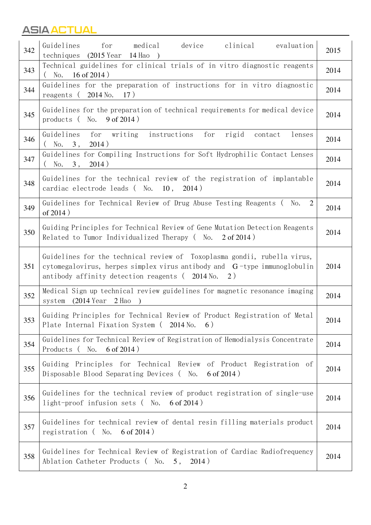#### ASIA ACTUAL ASIA

| 342 | Guidelines<br>for<br>medical<br>device<br>clinical<br>evaluation<br>techniques<br>$(2015$ Year<br>14 Hao<br>$\rightarrow$                                                                                    | 2015 |
|-----|--------------------------------------------------------------------------------------------------------------------------------------------------------------------------------------------------------------|------|
| 343 | Technical guidelines for clinical trials of in vitro diagnostic reagents<br>$16$ of 2014)<br>$($ No.                                                                                                         | 2014 |
| 344 | Guidelines for the preparation of instructions for in vitro diagnostic<br>2014 No.<br>17)<br>reagents (                                                                                                      | 2014 |
| 345 | Guidelines for the preparation of technical requirements for medical device<br>products (No.<br>$9$ of 2014)                                                                                                 | 2014 |
| 346 | writing instructions<br>Guidelines<br>rigid<br>for<br>for<br>contact<br>lenses<br>2014)<br>No.<br>3,                                                                                                         | 2014 |
| 347 | Guidelines for Compiling Instructions for Soft Hydrophilic Contact Lenses<br>(No. 3, 2014)                                                                                                                   | 2014 |
| 348 | Guidelines for the technical review of the registration of implantable<br>cardiac electrode leads (No. 10,<br>2014)                                                                                          | 2014 |
| 349 | Guidelines for Technical Review of Drug Abuse Testing Reagents (No.<br>2<br>of $2014$ )                                                                                                                      | 2014 |
| 350 | Guiding Principles for Technical Review of Gene Mutation Detection Reagents<br>Related to Tumor Individualized Therapy (No. 2 of 2014)                                                                       | 2014 |
| 351 | Guidelines for the technical review of Toxoplasma gondii, rubella virus,<br>cytomegalovirus, herpes simplex virus antibody and $G$ -type immunoglobulin<br>antibody affinity detection reagents (2014 No. 2) | 2014 |
| 352 | Medical Sign up technical review guidelines for magnetic resonance imaging<br>$(2014$ Year $2$ Hao<br>system                                                                                                 | 2014 |
| 353 | Guiding Principles for Technical Review of Product Registration of Metal<br>Plate Internal Fixation System (2014 No.<br>6)                                                                                   | 2014 |
| 354 | Guidelines for Technical Review of Registration of Hemodialysis Concentrate<br>6 of $2014$ )<br>Products (<br>No.                                                                                            | 2014 |
| 355 | Guiding Principles for Technical Review of Product Registration of<br>Disposable Blood Separating Devices (No.<br>6 of 2014)                                                                                 | 2014 |
| 356 | Guidelines for the technical review of product registration of single-use<br>light-proof infusion sets (No. 6 of 2014)                                                                                       | 2014 |
| 357 | Guidelines for technical review of dental resin filling materials product<br>registration (No.<br>6 of $2014$ )                                                                                              | 2014 |
| 358 | Guidelines for Technical Review of Registration of Cardiac Radiofrequency<br>Ablation Catheter Products (No. 5, 2014)                                                                                        | 2014 |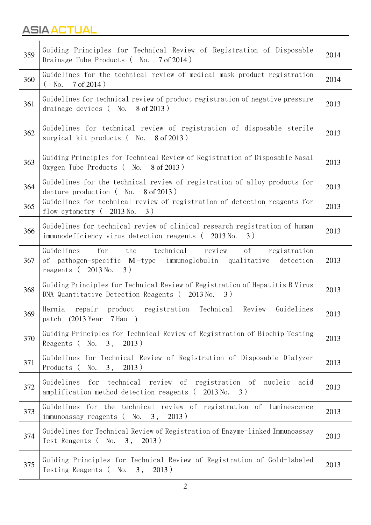| 359 | Guiding Principles for Technical Review of Registration of Disposable<br>Drainage Tube Products (No. 7 of 2014)                                                                   | 2014 |
|-----|-----------------------------------------------------------------------------------------------------------------------------------------------------------------------------------|------|
| 360 | Guidelines for the technical review of medical mask product registration<br>$7 \text{ of } 2014$ )<br>$($ No.                                                                     | 2014 |
| 361 | Guidelines for technical review of product registration of negative pressure<br>8 of 2013)<br>drainage devices (No.                                                               | 2013 |
| 362 | Guidelines for technical review of registration of disposable sterile<br>surgical kit products (No. 8 of 2013)                                                                    | 2013 |
| 363 | Guiding Principles for Technical Review of Registration of Disposable Nasal<br>Oxygen Tube Products (No. 8 of 2013)                                                               | 2013 |
| 364 | Guidelines for the technical review of registration of alloy products for<br>denture production (No.<br>8 of 2013)                                                                | 2013 |
| 365 | Guidelines for technical review of registration of detection reagents for<br>flow cytometry $(2013 \text{ No. } 3)$                                                               | 2013 |
| 366 | Guidelines for technical review of clinical research registration of human<br>immunodeficiency virus detection reagents (2013 No.<br>3)                                           | 2013 |
| 367 | technical<br>Guidelines<br>for<br>of<br>the<br>review<br>registration<br>of pathogen-specific $M$ -type<br>immunoglobulin<br>qualitative<br>detection<br>reagents (2013 No.<br>3) | 2013 |
| 368 | Guiding Principles for Technical Review of Registration of Hepatitis B Virus<br>DNA Quantitative Detection Reagents (2013 No. 3)                                                  | 2013 |
| 369 | product registration Technical<br>Guidelines<br>Hernia<br>repair<br>Review<br>patch (2013 Year 7 Hao)                                                                             | 2013 |
| 370 | Guiding Principles for Technical Review of Registration of Biochip Testing<br>Reagents $($ No. 3, 2013)                                                                           | 2013 |
| 371 | Guidelines for Technical Review of Registration of Disposable Dialyzer<br>Products<br>2013)<br>$\sqrt{2}$<br>No.<br>3,                                                            | 2013 |
| 372 | technical review of registration of nucleic<br>Guidelines<br>for<br>acid<br>amplification method detection reagents $(2013 \text{ No. } 3)$                                       | 2013 |
| 373 | Guidelines for the technical review of registration of luminescence<br>immunoassay reagents (No. 3, 2013)                                                                         | 2013 |
| 374 | Guidelines for Technical Review of Registration of Enzyme-linked Immunoassay<br>Test Reagents $($ No. 3, 2013)                                                                    | 2013 |
| 375 | Guiding Principles for Technical Review of Registration of Gold-labeled<br>Testing Reagents (No. 3, 2013)                                                                         | 2013 |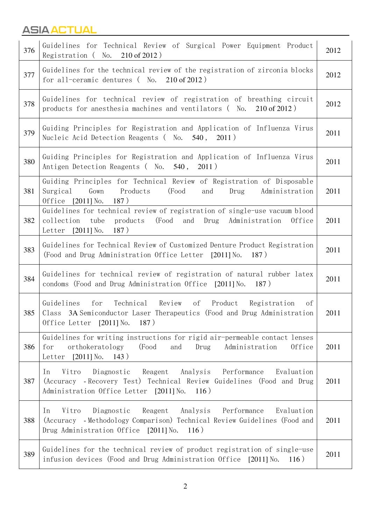| 376 | Guidelines for Technical Review of Surgical Power Equipment Product<br>No.<br>210 of 2012)<br>Registration (                                                                                              | 2012 |
|-----|-----------------------------------------------------------------------------------------------------------------------------------------------------------------------------------------------------------|------|
| 377 | Guidelines for the technical review of the registration of zirconia blocks<br>for all-ceramic dentures (No. 210 of 2012)                                                                                  | 2012 |
| 378 | Guidelines for technical review of registration of breathing circuit<br>products for anesthesia machines and ventilators (No. 210 of 2012)                                                                | 2012 |
| 379 | Guiding Principles for Registration and Application of Influenza Virus<br>Nucleic Acid Detection Reagents (No. 540, 2011)                                                                                 | 2011 |
| 380 | Guiding Principles for Registration and Application of Influenza Virus<br>Antigen Detection Reagents (No. 540,<br>2011)                                                                                   | 2011 |
| 381 | Guiding Principles for Technical Review of Registration of Disposable<br>Gown<br>Products<br>Surgical<br>(Food<br>and<br>Drug<br>Administration<br>Office<br>$[2011]$ No.<br>187)                         | 2011 |
| 382 | Guidelines for technical review of registration of single-use vacuum blood<br>tube<br>(Food<br>collection<br>products<br>and<br>Drug<br>Administration<br>Office<br>187)<br>$[2011]$ No.<br>Letter        | 2011 |
| 383 | Guidelines for Technical Review of Customized Denture Product Registration<br>(Food and Drug Administration Office Letter [2011] No.<br>187)                                                              | 2011 |
| 384 | Guidelines for technical review of registration of natural rubber latex<br>condoms (Food and Drug Administration Office [2011] No.<br>187)                                                                | 2011 |
| 385 | Guidelines<br>for<br>Technical<br>Review<br>οf<br>Product<br>Registration<br>οf<br>Class 3A Semiconductor Laser Therapeutics (Food and Drug Administration<br>Office Letter [2011] No.<br>187)            | 2011 |
| 386 | Guidelines for writing instructions for rigid air-permeable contact lenses<br>(Food<br>orthokeratology<br>and<br>Administration<br>Drug<br>for<br>Office<br>$[2011]$ No. 143)<br>Letter                   | 2011 |
| 387 | Diagnostic<br>Reagent<br>Analysis<br>Performance<br>Evaluation<br>Vitro<br>In<br>(Accuracy - Recovery Test) Technical Review Guidelines (Food and Drug<br>Administration Office Letter [2011] No.<br>116) | 2011 |
| 388 | Diagnostic<br>Reagent<br>Analysis<br>Performance<br>Vitro<br>Evaluation<br>In<br>(Accuracy - Methodology Comparison) Technical Review Guidelines (Food and<br>Drug Administration Office [2011] No. 116)  | 2011 |
| 389 | Guidelines for the technical review of product registration of single-use<br>infusion devices (Food and Drug Administration Office [2011] No.<br>116)                                                     | 2011 |